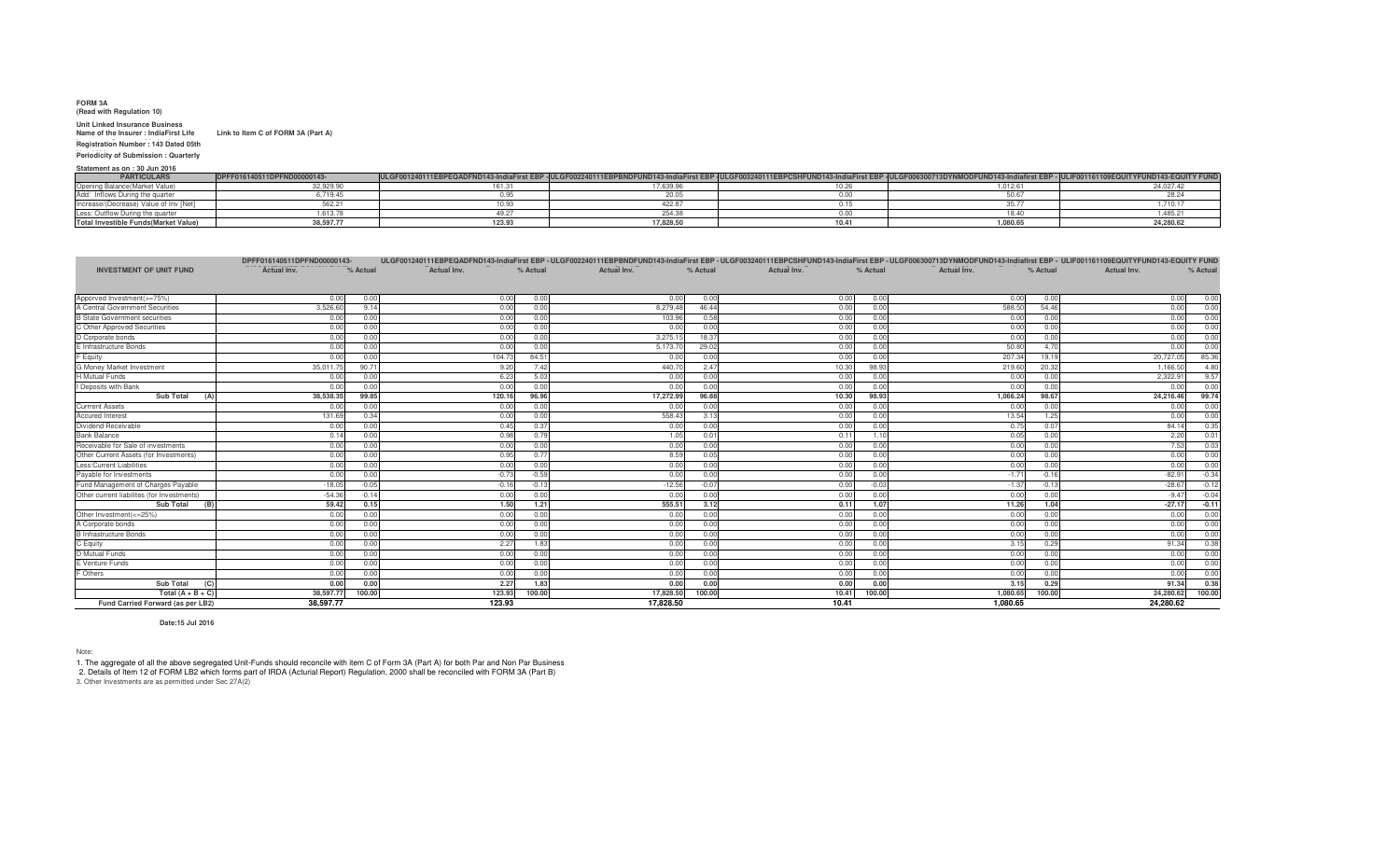## **FORM 3A**

 **(Read with Regulation 10) Unit Linked Insurance Business Name of the Insurer : IndiaFirst Life Link to Item C of FORM 3A (Part A)**

 **Insurance Company LimitedRegistration Number : 143 Dated 05th Nov 2009 Periodicity of Submission : Quarterly**

## **Statement as on : 30 Jun 2016**

| <b>PARTICULARS</b>                           | FND00000143-         | ULGF001240111EBPEQADFND143-IndiaFirst EBP -ULGFP |           | 40111EBF | <b>MODFUND143-F</b> |          |
|----------------------------------------------|----------------------|--------------------------------------------------|-----------|----------|---------------------|----------|
|                                              | 32,929.90            |                                                  | 1,000.01  | .        | 1.012.61            |          |
|                                              | $-10$<br>3.7.139.442 |                                                  |           | u.uu     |                     |          |
|                                              | .                    |                                                  |           |          |                     |          |
|                                              | 1.613.78             |                                                  |           |          |                     |          |
| <b>Total Investible Funds (Market Value)</b> | 38.597.77            | 123.93                                           | 17,828.50 | 10.41    | 1,080.65            | $\cdots$ |

|                                            | DPFF016140511DPFND00000143- |          |                    |          |             |          |                    |          |                    |          | ULGF001240111EBPEQADFND143-IndiaFirst EBP - ULGF002240111EBPBNDFUND143-IndiaFirst EBP - ULGF003240111EBPCSHFUND143-IndiaFirst EBP - ULGF006300713DYNMODFUND143-Indiafirst EBP - ULIF001161109EQUITYFUND143-EQUITY FUND |
|--------------------------------------------|-----------------------------|----------|--------------------|----------|-------------|----------|--------------------|----------|--------------------|----------|------------------------------------------------------------------------------------------------------------------------------------------------------------------------------------------------------------------------|
| <b>INVESTMENT OF UNIT FUND</b>             | Actual Inv.                 | % Actual | <b>Actual Inv.</b> | % Actual | Actual Inv. | % Actual | <b>Actual Inv.</b> | % Actual | <b>Actual Inv.</b> | % Actual | Actual Inv.<br>% Actual                                                                                                                                                                                                |
|                                            |                             |          |                    |          |             |          |                    |          |                    |          |                                                                                                                                                                                                                        |
| Apporved Investment(>=75%)                 | 0.00                        | 0.00     | 0.00               | 0.00     | 0.00        | 0.00     | 0.00               | 0.00     | 0.00               | 0.00     | 0.00<br>0.00                                                                                                                                                                                                           |
| A Central Government Securities            | 3.526.60                    | 9.14     | 0.00               | 0.00     | 8.279.48    | 46.44    | 0.00               | 0.00     | 588.50             | 54.46    | 0.00<br>0.00                                                                                                                                                                                                           |
| <b>B</b> State Government securities       | 0.00                        | 0.00     | 0.00               | 0.00     | 103.96      | 0.58     | 0.00               | 0.00     | 0.00               | 0.00     | 0.00<br>0.00                                                                                                                                                                                                           |
| C Other Approved Securities                | 0.00                        | 0.00     | 0.00               | 0.00     | 0.00        | 0.00     | 0.00               | 0.00     | 0.00               | 0.0      | 0.00<br>0.00                                                                                                                                                                                                           |
| D Corporate bonds                          | 0.00                        | 0.00     | 0.00               | 0.00     | 3.275.15    | 18.37    | 0.00               | 0.00     | 0.00               | 0.0      | 0.00<br>0.00                                                                                                                                                                                                           |
| E Infrastructure Bonds                     | 0.00                        | 0.00     | 0.00               | 0.00     | 5,173.70    | 29.02    | 0.00               | 0.00     | 50.80              | 47       | 0.00<br>0.00                                                                                                                                                                                                           |
| F Equity                                   | 0.00                        | 0.00     | 104.73             | 84.51    | 0.00        | 0.00     | 0.00               | 0.00     | 207.34             | 19.1     | 85.36<br>20,727.05                                                                                                                                                                                                     |
| G Money Market Investment                  | 35,011.75                   | 90.71    | 9.20               | 7.42     | 440.70      | 2.47     | 10.30              | 98.93    | 219.60             | 20.32    | 4.80<br>1,166.50                                                                                                                                                                                                       |
| <b>H</b> Mutual Funds                      | 0.00                        | 0.00     | 6.23               | 5.03     | 0.00        | 0.00     | 0.00               | 0.00     | 0.00               | 0.00     | 9.57<br>2,322.91                                                                                                                                                                                                       |
| I Deposits with Bank                       | 0.00                        | 0.00     | 0.00               | 0.00     | 0.00        | 0.00     | 0.00               | 0.00     | 0.00               | 0.00     | 0.00<br>0.00                                                                                                                                                                                                           |
| Sub Total                                  | 38,538.35                   | 99.85    | 120.16             | 96.96    | 17,272.99   | 96.88    | 10.30              | 98.93    | 1,066.24           | 98.67    | 99.74<br>24,216.46                                                                                                                                                                                                     |
| <b>Currrent Assets</b>                     | 0.00                        | 0.00     | 0.00               | 0.00     | 0.00        | 0.00     | 0.00               | 0.00     | 0.00               | 0.00     | 0.00<br>0.00                                                                                                                                                                                                           |
| Accured Interest                           | 131.69                      | 0.34     | 0.00               | 0.00     | 558.43      | 3.13     | 0.00               | 0.00     | 13.54              | 1.25     | 0.00<br>0.00                                                                                                                                                                                                           |
| Dividend Receivable                        | 0.00                        | 0.00     | 0.45               | 0.37     | 0.00        | 0.00     | 0.00               | 0.00     | 0.75               | 0.0      | 0.35<br>84.14                                                                                                                                                                                                          |
| <b>Bank Balance</b>                        | 0.14                        | 0.00     | 0.98               | 0.79     | 1.05        | 0.01     | 0.11               | 1.10     | 0.05               | 0.00     | 0.01<br>2.20                                                                                                                                                                                                           |
| Receivable for Sale of investments         | 0.00                        | 0.00     | 0.00               | 0.00     | 0.00        | 0.00     | 0.00               | 0.00     | 0.00               | 0.0      | 0.03<br>7.53                                                                                                                                                                                                           |
| Other Current Assets (for Investments)     | 0.00                        | 0.00     | 0.95               | 0.77     | 8.59        | 0.05     | 0.00               | 0.00     | 0.00               | 0.0      | 0.00<br>0.00                                                                                                                                                                                                           |
| Less:Current Liabilities                   | 0.00                        | 0.00     | 0.00               | 0.00     | 0.00        | 0.00     | 0.00               | 0.00     | 0.00               | 0.0      | 0.00<br>0.00                                                                                                                                                                                                           |
| Payable for Investments                    | 0.00                        | 0.00     | $-0.73$            | $-0.59$  | 0.00        | 0.00     | 0.00               | 0.00     | $-1.71$            | $-0.1$   | $-82.91$<br>$-0.34$                                                                                                                                                                                                    |
| Fund Management of Charges Payable         | $-18.05$                    | $-0.05$  | $-0.16$            | $-0.13$  | $-12.56$    | $-0.07$  | 0.00               | $-0.03$  | $-1.37$            | $-0.1$   | $-0.12$<br>$-28.67$                                                                                                                                                                                                    |
| Other current liabilites (for Investments) | $-54.36$                    | $-0.14$  | 0.00               | 0.00     | 0.00        | 0.00     | 0.00               | 0.00     | 0.00               | 0.00     | $-0.04$<br>$-9.47$                                                                                                                                                                                                     |
| Sub Total (B)                              | 59.42                       | 0.15     | 1.50               | 1.21     | 555.51      | 3.12     | 0.11               | 1.07     | 11.26              | 1.04     | $-0.11$<br>$-27.17$                                                                                                                                                                                                    |
| Other Investment(<=25%)                    | 0.00                        | 0.00     | 0.00               | 0.00     | 0.00        | 0.00     | 0.00               | 0.00     | 0.00               | 0.00     | 0.00<br>0.00                                                                                                                                                                                                           |
| A Corporate bonds                          | 0.00                        | 0.00     | 0.00               | 0.00     | 0.00        | 0.00     | 0.00               | 0.00     | 0.00               | 0.00     | 0.00<br>0.00                                                                                                                                                                                                           |
| <b>B</b> Infrastructure Bonds              | 0.00                        | 0.00     | 0.00               | 0.00     | 0.00        | 0.00     | 0.00               | 0.00     | 0.00               | 0.00     | 0.00<br>0.00                                                                                                                                                                                                           |
| C Equity                                   | 0.00                        | 0.00     | 2.27               | 1.83     | 0.00        | 0.00     | 0.00               | 0.00     | 3.15               | 0.29     | 0.38<br>91.34                                                                                                                                                                                                          |
| D Mutual Funds                             | 0.00                        | 0.00     | 0.00               | 0.00     | 0.00        | 0.00     | 0.00               | 0.00     | 0.00               | 0.00     | 0.00<br>0.00                                                                                                                                                                                                           |
| E Venture Funds                            | 0.00                        | 0.00     | 0.00               | 0.00     | 0.00        | 0.00     | 0.00               | 0.00     | 0.00               | 0.00     | 0.00<br>0.00                                                                                                                                                                                                           |
| F Others                                   | 0.00                        | 0.00     | 0.00               | 0.00     | 0.00        | 0.00     | 0.00               | 0.00     | 0.00               | 0.00     | 0.00<br>0.00                                                                                                                                                                                                           |
| <b>Sub Total</b><br>(C)                    | 0.00                        | 0.00     | 2.27               | 1.83     | 0.00        | 0.00     | 0.00               | 0.00     | 3.15               | 0.29     | 0.38<br>91.34                                                                                                                                                                                                          |
| Total $(A + B + C)$                        | 38,597.77                   | 100.00   | 123.93             | 100.00   | 17,828.50   | 100.00   | 10.41              | 100.00   | 1,080.65           | 100.00   | 24,280.62 100.00                                                                                                                                                                                                       |
| Fund Carried Forward (as per LB2)          | 38,597.77                   |          | 123.93             |          | 17.828.50   |          | 10.41              |          | 1,080.65           |          | 24.280.62                                                                                                                                                                                                              |

**Date:15 Jul 2016**

Note:<br>1. The aggregate of all the above segregated Unit-Funds should reconcile with item C of Form 3A (Part A) for both Par and Non Par Business<br>2. Details of Item 12 of FORM LB2 which forms part of IRDA (Acturial Report)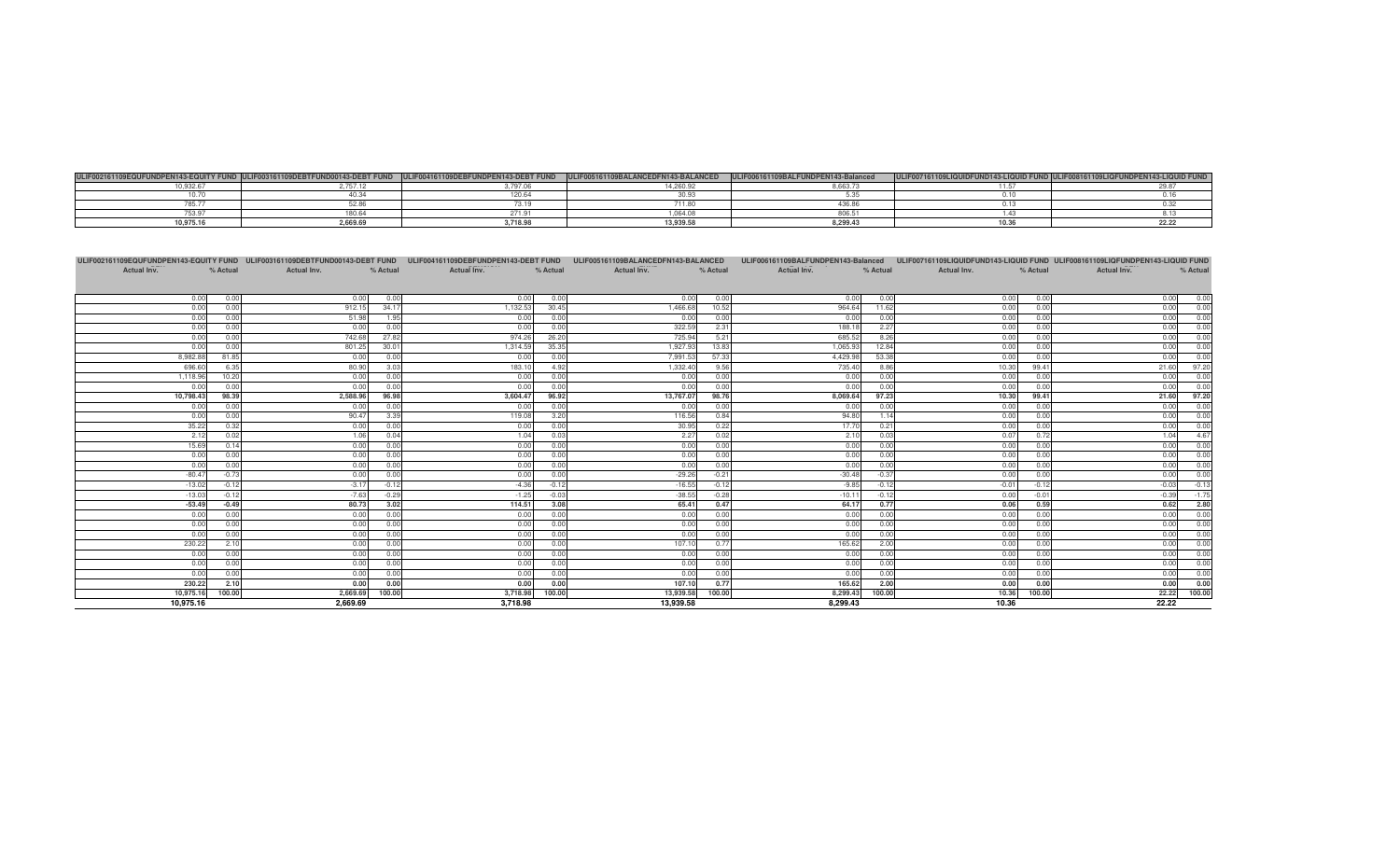|            |          |                                | $-241AB22$<br>100000101010000<br>3 I O I | $-$      | <b>ALL IN</b> |  |
|------------|----------|--------------------------------|------------------------------------------|----------|---------------|--|
| 10000      |          |                                | .<br>$-20.003 -$                         | 3.5352   |               |  |
| $\sim$ me. |          |                                | <br>uu.uu                                |          |               |  |
|            |          |                                | .                                        |          |               |  |
| ----       |          |                                | 064.01                                   | ---      |               |  |
| 10,975.16  | 2,669.69 | $\cdots$<br>110.3 <sub>C</sub> | 13,939.58                                | 8.299.43 |               |  |

| ULIF002161109EQUFUNDPEN143-EQUITY FUND ULIF003161109DEBTFUND00143-DEBT FUND ULIF004161109DEBFUNDPEN143-DEBT FUND ULIF005161109BALANCEDFN143-BALANCED |              |              |              |                    |              |              |              |              |              | ULIF006161109BALFUNDPEN143-Balanced ULIF007161109LIQUIDFUND143-LIQUID FUND ULIF008161109LIQFUNDPEN143-LIQUID FUND |              |              |              |
|------------------------------------------------------------------------------------------------------------------------------------------------------|--------------|--------------|--------------|--------------------|--------------|--------------|--------------|--------------|--------------|-------------------------------------------------------------------------------------------------------------------|--------------|--------------|--------------|
| Actual Inv.                                                                                                                                          | % Actual     | Actual Inv.  | % Actual     | <b>Actual Inv.</b> | % Actual     | Actual Inv.  | % Actual     | Actual Inv.  | % Actual     | Actual Inv.                                                                                                       | % Actual     | Actual Inv.  | % Actual     |
|                                                                                                                                                      |              |              |              |                    |              |              |              |              |              |                                                                                                                   |              |              |              |
| 0.00                                                                                                                                                 | 0.00         | 0.00         | 0.00         | 0.00               | 0.00         | 0.00         | 0.00         | 0.00         | 0.00         | 0.00                                                                                                              | 0.00         | 0.00         | 0.00         |
| 0.00                                                                                                                                                 | 0.00         | 912.15       | 34.17        | 1.132.53           | 30.45        | 1,466.68     | 10.52        | 964.64       | 11.62        | 0.00                                                                                                              | 0.00         | 0.00         | 0.00         |
| 0.00                                                                                                                                                 | 0.00         | 51.98        | 1.95         | 0.00               | 0.00         | 0.00         | 0.00         | 0.00         | 0.00         | 0.00                                                                                                              | 0.00         | 0.00         | 0.00         |
| 0.00                                                                                                                                                 | 0.00         | 0.00         | 0.00         | 0.00               | 0.00         | 322.59       | 2.31         | 188.18       | 2.27         | 0.00                                                                                                              | 0.00         | 0.00         | 0.00         |
| 0.00                                                                                                                                                 | 0.00         | 742.68       | 27.82        | 974.26             | 26.20        | 725.94       | 5.21         | 685.52       | 8.26         | 0.00                                                                                                              | 0.00         | 0.00         | 0.00         |
| 0.00                                                                                                                                                 | 0.00         | 801.25       | 30.01        | 1,314.59           | 35.35        | 1,927.93     | 13.83        | 1,065.93     | 12.84        | 0.00                                                                                                              | 0.00         | 0.00         | 0.00         |
| 8,982.88                                                                                                                                             | 81.85        | 0.00         | 0.00         | 0.00               | 0.00         | 7,991.53     | 57.33        | 4,429.98     | 53.38        | 0.00                                                                                                              | 0.00         | 0.00         | 0.00         |
| 696.60                                                                                                                                               | 6.35         | 80.90        | 3.03         | 183.10             | 4.92         | 1,332.40     | 9.56         | 735.40       | 8.86         | 10.30                                                                                                             | 99.41        | 21.60        | 97.20        |
| 1,118.96                                                                                                                                             | 10.20        | 0.00         | 0.00         | 0.00               | 0.00         | 0.00         | 0.00         | 0.00         | 0.00         | 0.00                                                                                                              | 0.00         | 0.00         | 0.00         |
| 0.00                                                                                                                                                 | 0.00         | 0.00         | 0.00         | 0.00               | 0.00         | 0.00         | 0.00         | 0.00         | 0.00         | 0.00                                                                                                              | 0.00         | 0.00         | 0.00         |
| 10,798.43                                                                                                                                            | 98.39        | 2,588.96     | 96.98        | 3.604.47           | 96.92        | 13,767.07    | 98.76        | 8,069.64     | 97.23        | 10.30                                                                                                             | 99.41        | 21.60        | 97.20        |
| 0.00                                                                                                                                                 | 0.00         | 0.00         | 0.00         | 0.00               | 0.00         | 0.00         | 0.00         | 0.00         | 0.00         | 0.00                                                                                                              | 0.00         | 0.00         | 0.00         |
| 0.00                                                                                                                                                 | 0.00         | 90.47        | 3.39         | 119.08             | 3.20         | 116.56       | 0.84         | 94.80        | 1.14         | 0.00                                                                                                              | 0.00         | 0.00         | 0.00         |
| 35.22                                                                                                                                                | 0.32         | 0.00         | 0.00         | 0.00               | 0.00         | 30.95        | 0.22         | 17.70        | 0.21         | 0.00                                                                                                              | 0.00         | 0.00         | 0.00         |
| 2.12                                                                                                                                                 | 0.02         | 1.06         | 0.04         | 1.04               | 0.03         | 2.27         | 0.02         | 2.10         | 0.03         | 0.07                                                                                                              | 0.72         | 1.04         | 4.67         |
| 15.69                                                                                                                                                | 0.14         | 0.00         | 0.00         | 0.00               | 0.00         | 0.00         | 0.00         | 0.00         | 0.00         | 0.00                                                                                                              | 0.00         | 0.00         | 0.00         |
| 0.00                                                                                                                                                 | 0.00         | 0.00         | 0.00         | 0.00               | 0.00         | 0.00         | 0.00         | 0.00         | 0.00         | 0.00                                                                                                              | 0.00         | 0.00         | 0.00         |
| 0.00                                                                                                                                                 | 0.00         | 0.00         | 0.00         | 0.00               | 0.00         | 0.00         | 0.00         | 0.00         | 0.00         | 0.00                                                                                                              | 0.00         | 0.00         | 0.00         |
| $-80.47$                                                                                                                                             | $-0.73$      | 0.00         | 0.00         | 0.00               | 0.00         | $-29.26$     | $-0.21$      | $-30.48$     | $-0.37$      | 0.00                                                                                                              | 0.00         | 0.00         | 0.00         |
| $-13.02$                                                                                                                                             | $-0.12$      | $-3.17$      | $-0.12$      | $-4.36$            | $-0.12$      | $-16.55$     | $-0.12$      | $-9.85$      | $-0.12$      | $-0.01$                                                                                                           | $-0.12$      | $-0.03$      | $-0.13$      |
| $-13.03$                                                                                                                                             | $-0.12$      | $-7.63$      | $-0.29$      | $-1.25$            | $-0.03$      | $-38.55$     | $-0.28$      | $-10.11$     | $-0.12$      | 0.00                                                                                                              | $-0.01$      | $-0.39$      | $-1.75$      |
| $-53.49$                                                                                                                                             | $-0.49$      | 80.73        | 3.02         | 114.51             | 3.08         | 65.41        | 0.47         | 64.17        | 0.77         | 0.06                                                                                                              | 0.59         | 0.62         | 2.80         |
| 0.00                                                                                                                                                 | 0.00         | 0.00         | 0.00         | 0.00               | 0.00         | 0.00         | 0.00         | 0.00         | 0.00         | 0.00                                                                                                              | 0.00         | 0.00         | 0.00         |
| 0.00                                                                                                                                                 | 0.00         | 0.00         | 0.00         | 0.00               | 0.00         | 0.00         | 0.00         | 0.00         | 0.00         | 0.00                                                                                                              | 0.00         | 0.00         | 0.00<br>0.00 |
| 0.00                                                                                                                                                 | 0.00         | 0.00         | 0.00         | 0.00               | 0.00         | 0.00         | 0.00         | 0.00         | 0.00         | 0.00                                                                                                              | 0.00         | 0.00         |              |
| 230.22                                                                                                                                               | 2.10         | 0.00         | 0.00<br>0.00 | 0.00               | 0.00         | 107.10       | 0.77<br>0.00 | 165.62       | 2.00<br>0.00 | 0.00                                                                                                              | 0.00<br>0.00 | 0.00         | 0.00<br>0.00 |
| 0.00                                                                                                                                                 | 0.00<br>0.00 | 0.00         | 0.00         | 0.00               | 0.00         | 0.00         |              | 0.00         | 0.00         | 0.00                                                                                                              | 0.00         | 0.00<br>0.00 | 0.00         |
| 0.00<br>0.00                                                                                                                                         | 0.00         | 0.00<br>0.00 | 0.00         | 0.00<br>0.00       | 0.00<br>0.00 | 0.00<br>0.00 | 0.00<br>0.00 | 0.00<br>0.00 | 0.00         | 0.00<br>0.00                                                                                                      | 0.00         | 0.00         | 0.00         |
| 230.22                                                                                                                                               | 2.10         | 0.00         | 0.00         | 0.00               | 0.00         | 107.10       | 0.77         | 165.62       | 2.00         | 0.00                                                                                                              | 0.00         | 0.00         | 0.00         |
| 10,975.16                                                                                                                                            | 100.00       | 2,669.69     | 100.00       | 3,718.98           | 100.00       | 13,939.58    | 100.00       | 8,299.43     | 100.00       | 10.36                                                                                                             | 100.00       |              | 22.22 100.00 |
| 10,975.16                                                                                                                                            |              | 2.669.69     |              | 3.718.98           |              | 13.939.58    |              | 8.299.43     |              | 10.36                                                                                                             |              | 22.22        |              |
|                                                                                                                                                      |              |              |              |                    |              |              |              |              |              |                                                                                                                   |              |              |              |